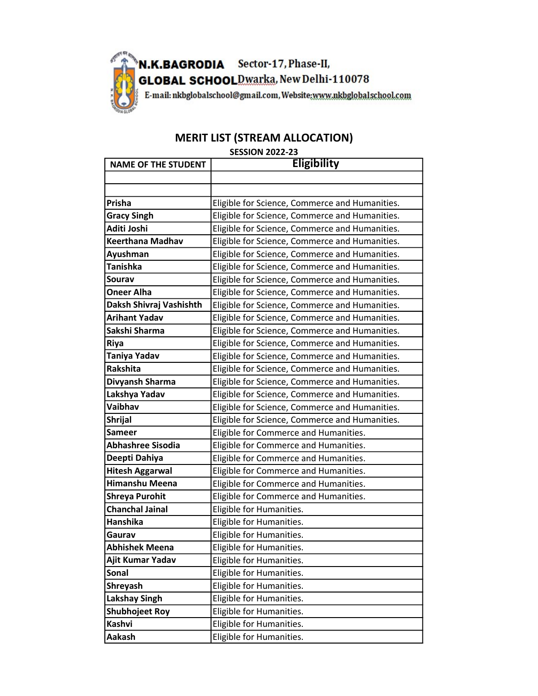

## MERIT LIST (STREAM ALLOCATION)

## SESSION 2022-23

| <b>NAME OF THE STUDENT</b> | <b>Eligibility</b>                             |
|----------------------------|------------------------------------------------|
|                            |                                                |
|                            |                                                |
| Prisha                     | Eligible for Science, Commerce and Humanities. |
| <b>Gracy Singh</b>         | Eligible for Science, Commerce and Humanities. |
| Aditi Joshi                | Eligible for Science, Commerce and Humanities. |
| <b>Keerthana Madhav</b>    | Eligible for Science, Commerce and Humanities. |
| Ayushman                   | Eligible for Science, Commerce and Humanities. |
| <b>Tanishka</b>            | Eligible for Science, Commerce and Humanities. |
| Sourav                     | Eligible for Science, Commerce and Humanities. |
| <b>Oneer Alha</b>          | Eligible for Science, Commerce and Humanities. |
| Daksh Shivraj Vashishth    | Eligible for Science, Commerce and Humanities. |
| <b>Arihant Yadav</b>       | Eligible for Science, Commerce and Humanities. |
| Sakshi Sharma              | Eligible for Science, Commerce and Humanities. |
| <b>Riya</b>                | Eligible for Science, Commerce and Humanities. |
| <b>Taniya Yadav</b>        | Eligible for Science, Commerce and Humanities. |
| <b>Rakshita</b>            | Eligible for Science, Commerce and Humanities. |
| Divyansh Sharma            | Eligible for Science, Commerce and Humanities. |
| Lakshya Yadav              | Eligible for Science, Commerce and Humanities. |
| Vaibhav                    | Eligible for Science, Commerce and Humanities. |
| <b>Shrijal</b>             | Eligible for Science, Commerce and Humanities. |
| <b>Sameer</b>              | Eligible for Commerce and Humanities.          |
| <b>Abhashree Sisodia</b>   | Eligible for Commerce and Humanities.          |
| Deepti Dahiya              | Eligible for Commerce and Humanities.          |
| <b>Hitesh Aggarwal</b>     | Eligible for Commerce and Humanities.          |
| <b>Himanshu Meena</b>      | Eligible for Commerce and Humanities.          |
| <b>Shreya Purohit</b>      | Eligible for Commerce and Humanities.          |
| <b>Chanchal Jainal</b>     | Eligible for Humanities.                       |
| <b>Hanshika</b>            | Eligible for Humanities.                       |
| Gaurav                     | Eligible for Humanities.                       |
| <b>Abhishek Meena</b>      | Eligible for Humanities.                       |
| Ajit Kumar Yadav           | Eligible for Humanities.                       |
| <b>Sonal</b>               | Eligible for Humanities.                       |
| Shreyash                   | Eligible for Humanities.                       |
| <b>Lakshay Singh</b>       | Eligible for Humanities.                       |
| <b>Shubhojeet Roy</b>      | Eligible for Humanities.                       |
| <b>Kashvi</b>              | Eligible for Humanities.                       |
| Aakash                     | Eligible for Humanities.                       |